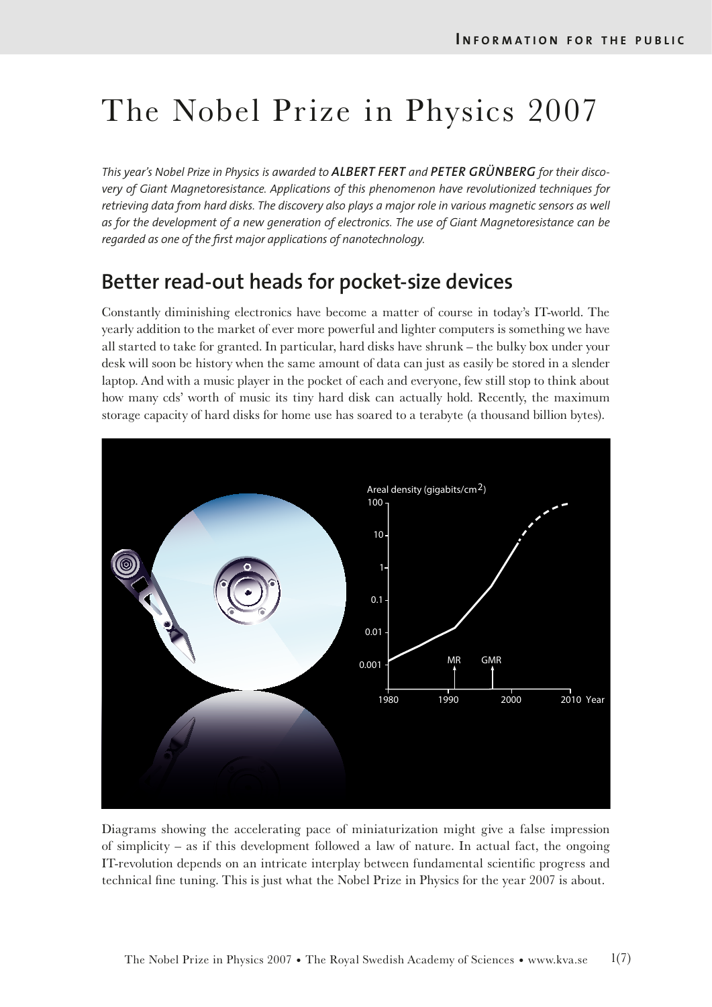# The Nobel Prize in Physics 2007

*This year's Nobel Prize in Physics is awarded to ALBERT FERT and PETER GRÜNBERG for their discovery of Giant Magnetoresistance. Applications of this phenomenon have revolutionized techniques for retrieving data from hard disks. The discovery also plays a major role in various magnetic sensors as well as for the development of a new generation of electronics. The use of Giant Magnetoresistance can be regarded as one of the frst major applications of nanotechnology.* 

# **Better read-out heads for pocket-size devices**

Constantly diminishing electronics have become a matter of course in today's IT-world. The yearly addition to the market of ever more powerful and lighter computers is something we have all started to take for granted. In particular, hard disks have shrunk – the bulky box under your desk will soon be history when the same amount of data can just as easily be stored in a slender laptop. And with a music player in the pocket of each and everyone, few still stop to think about how many cds' worth of music its tiny hard disk can actually hold. Recently, the maximum storage capacity of hard disks for home use has soared to a terabyte (a thousand billion bytes).



Diagrams showing the accelerating pace of miniaturization might give a false impression of simplicity – as if this development followed a law of nature. In actual fact, the ongoing IT-revolution depends on an intricate interplay between fundamental scientifc progress and technical fne tuning. This is just what the Nobel Prize in Physics for the year 2007 is about.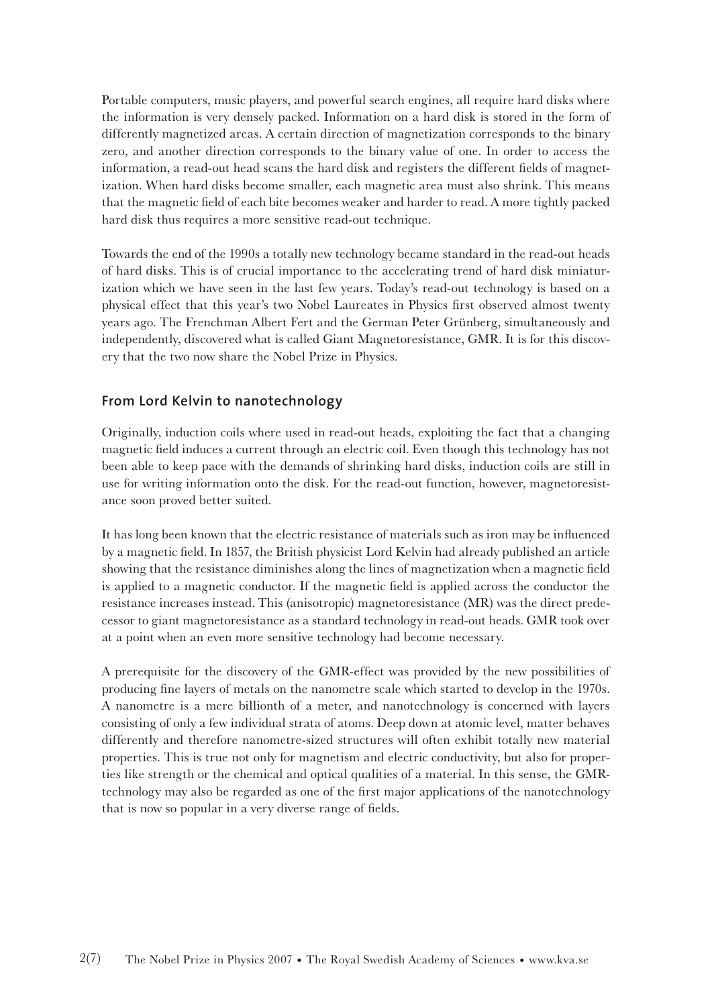Portable computers, music players, and powerful search engines, all require hard disks where the information is very densely packed. Information on a hard disk is stored in the form of differently magnetized areas. A certain direction of magnetization corresponds to the binary zero, and another direction corresponds to the binary value of one. In order to access the information, a read-out head scans the hard disk and registers the different felds of magnetization. When hard disks become smaller, each magnetic area must also shrink. This means that the magnetic feld of each bite becomes weaker and harder to read. A more tightly packed hard disk thus requires a more sensitive read-out technique.

Towards the end of the 1990s a totally new technology became standard in the read-out heads of hard disks. This is of crucial importance to the accelerating trend of hard disk miniaturization which we have seen in the last few years. Today's read-out technology is based on a physical effect that this year's two Nobel Laureates in Physics frst observed almost twenty years ago. The Frenchman Albert Fert and the German Peter Grünberg, simultaneously and independently, discovered what is called Giant Magnetoresistance, GMR. It is for this discovery that the two now share the Nobel Prize in Physics.

# **From Lord Kelvin to nanotechnology**

Originally, induction coils where used in read-out heads, exploiting the fact that a changing magnetic feld induces a current through an electric coil. Even though this technology has not been able to keep pace with the demands of shrinking hard disks, induction coils are still in use for writing information onto the disk. For the read-out function, however, magnetoresistance soon proved better suited.

It has long been known that the electric resistance of materials such as iron may be infuenced by a magnetic feld. In 1857, the British physicist Lord Kelvin had already published an article showing that the resistance diminishes along the lines of magnetization when a magnetic feld is applied to a magnetic conductor. If the magnetic feld is applied across the conductor the resistance increases instead. This (anisotropic) magnetoresistance (MR) was the direct predecessor to giant magnetoresistance as a standard technology in read-out heads. GMR took over at a point when an even more sensitive technology had become necessary.

A prerequisite for the discovery of the GMR-effect was provided by the new possibilities of producing fne layers of metals on the nanometre scale which started to develop in the 1970s. A nanometre is a mere billionth of a meter, and nanotechnology is concerned with layers consisting of only a few individual strata of atoms. Deep down at atomic level, matter behaves differently and therefore nanometre-sized structures will often exhibit totally new material properties. This is true not only for magnetism and electric conductivity, but also for properties like strength or the chemical and optical qualities of a material. In this sense, the GMRtechnology may also be regarded as one of the frst major applications of the nanotechnology that is now so popular in a very diverse range of felds.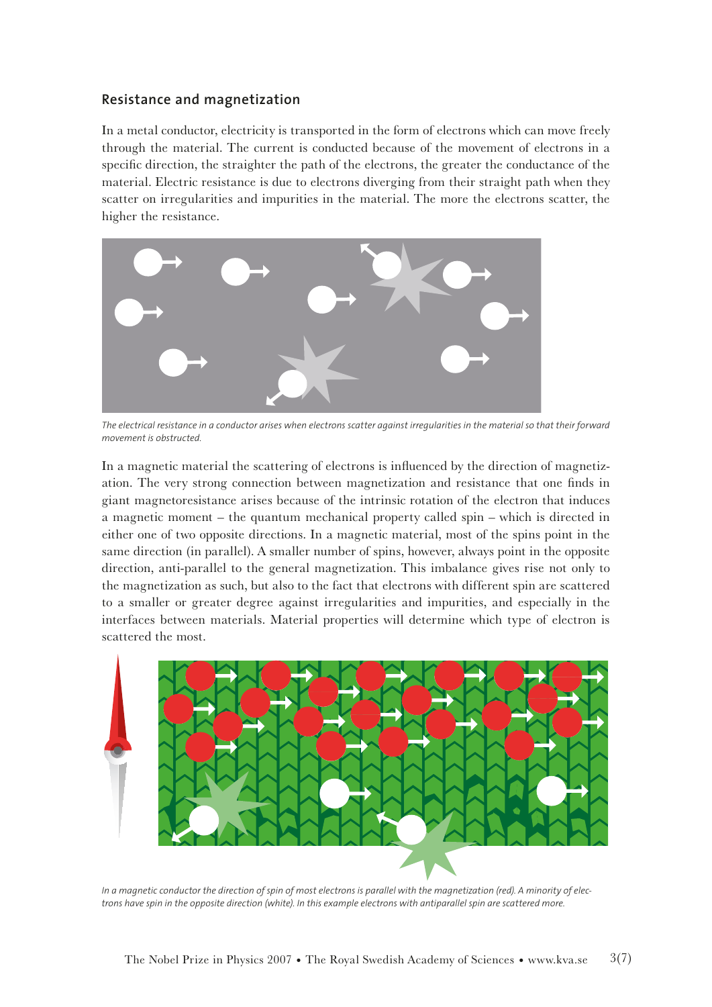# **Resistance and magnetization**

In a metal conductor, electricity is transported in the form of electrons which can move freely through the material. The current is conducted because of the movement of electrons in a specifc direction, the straighter the path of the electrons, the greater the conductance of the material. Electric resistance is due to electrons diverging from their straight path when they scatter on irregularities and impurities in the material. The more the electrons scatter, the higher the resistance.



*The electrical resistance in a conductor arises when electrons scatter against irregularities in the material so that their forward movement is obstructed.*

In a magnetic material the scattering of electrons is infuenced by the direction of magnetization. The very strong connection between magnetization and resistance that one fnds in giant magnetoresistance arises because of the intrinsic rotation of the electron that induces a magnetic moment – the quantum mechanical property called spin – which is directed in either one of two opposite directions. In a magnetic material, most of the spins point in the same direction (in parallel). A smaller number of spins, however, always point in the opposite direction, anti-parallel to the general magnetization. This imbalance gives rise not only to the magnetization as such, but also to the fact that electrons with different spin are scattered to a smaller or greater degree against irregularities and impurities, and especially in the interfaces between materials. Material properties will determine which type of electron is scattered the most.



*In a magnetic conductor the direction of spin of most electrons is parallel with the magnetization (red). A minority of electrons have spin in the opposite direction (white). In this example electrons with antiparallel spin are scattered more.*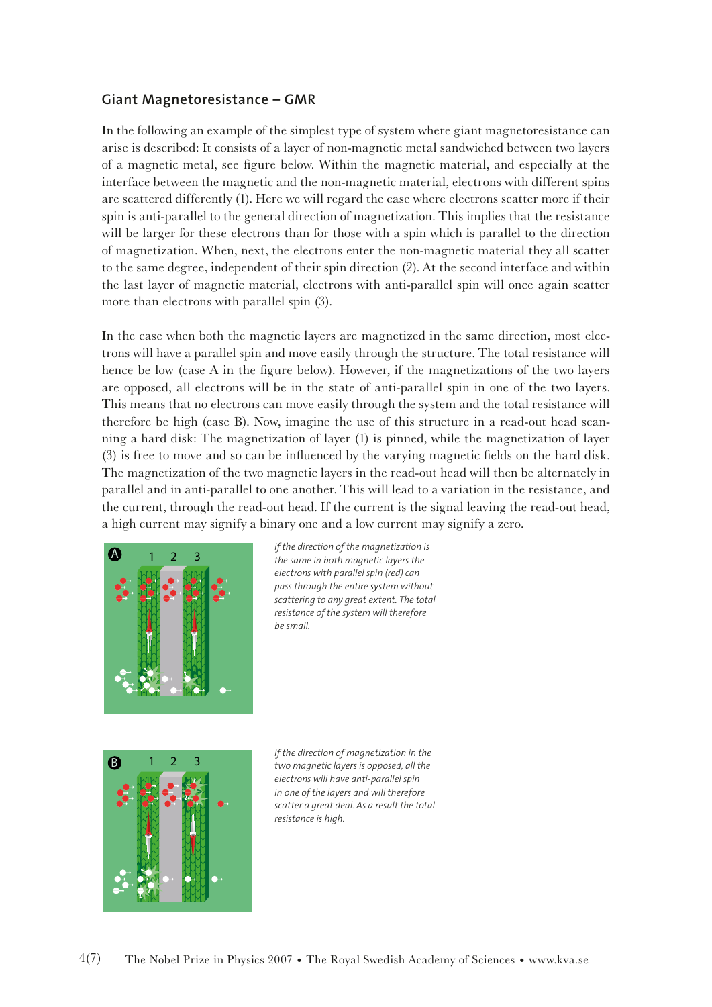# **Giant Magnetoresistance – GMR**

In the following an example of the simplest type of system where giant magnetoresistance can arise is described: It consists of a layer of non-magnetic metal sandwiched between two layers of a magnetic metal, see fgure below. Within the magnetic material, and especially at the interface between the magnetic and the non-magnetic material, electrons with different spins are scattered differently (1). Here we will regard the case where electrons scatter more if their spin is anti-parallel to the general direction of magnetization. This implies that the resistance will be larger for these electrons than for those with a spin which is parallel to the direction of magnetization. When, next, the electrons enter the non-magnetic material they all scatter to the same degree, independent of their spin direction (2). At the second interface and within the last layer of magnetic material, electrons with anti-parallel spin will once again scatter more than electrons with parallel spin (3).

In the case when both the magnetic layers are magnetized in the same direction, most electrons will have a parallel spin and move easily through the structure. The total resistance will hence be low (case A in the fgure below). However, if the magnetizations of the two layers are opposed, all electrons will be in the state of anti-parallel spin in one of the two layers. This means that no electrons can move easily through the system and the total resistance will therefore be high (case B). Now, imagine the use of this structure in a read-out head scanning a hard disk: The magnetization of layer (1) is pinned, while the magnetization of layer (3) is free to move and so can be infuenced by the varying magnetic felds on the hard disk. The magnetization of the two magnetic layers in the read-out head will then be alternately in parallel and in anti-parallel to one another. This will lead to a variation in the resistance, and the current, through the read-out head. If the current is the signal leaving the read-out head, a high current may signify a binary one and a low current may signify a zero.



*If the direction of the magnetization is the same in both magnetic layers the electrons with parallel spin (red) can pass through the entire system without scattering to any great extent. The total resistance of the system will therefore be small.*



*If the direction of magnetization in the two magnetic layers is opposed, all the electrons will have anti-parallel spin in one of the layers and will therefore scatter a great deal. As a result the total resistance is high.*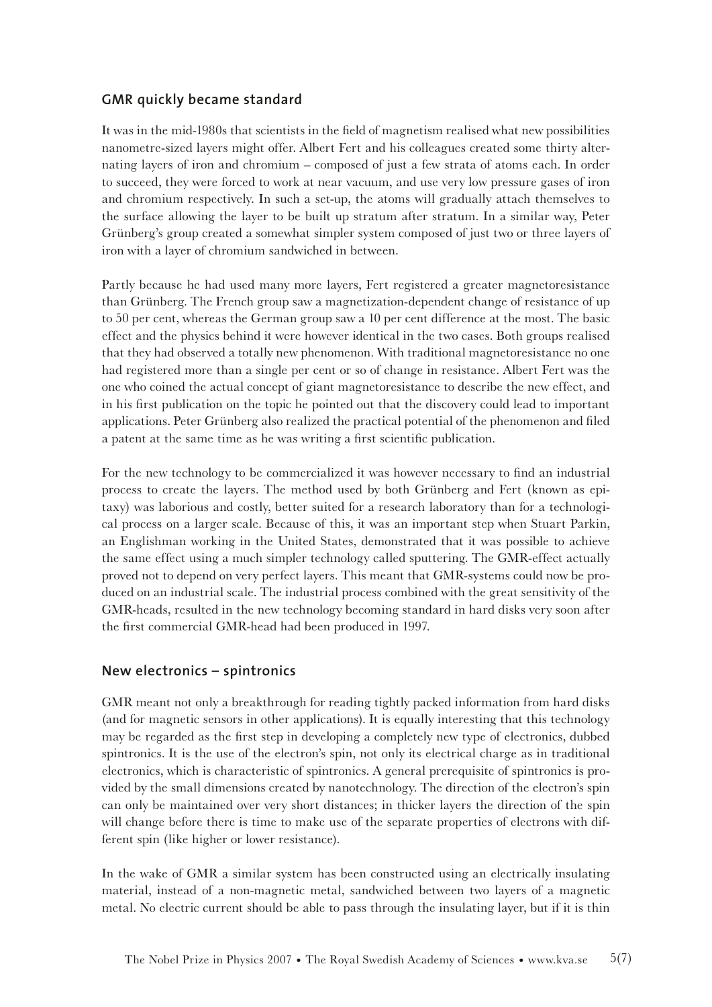# **GMR quickly became standard**

It was in the mid-1980s that scientists in the feld of magnetism realised what new possibilities nanometre-sized layers might offer. Albert Fert and his colleagues created some thirty alternating layers of iron and chromium – composed of just a few strata of atoms each. In order to succeed, they were forced to work at near vacuum, and use very low pressure gases of iron and chromium respectively. In such a set-up, the atoms will gradually attach themselves to the surface allowing the layer to be built up stratum after stratum. In a similar way, Peter Grünberg's group created a somewhat simpler system composed of just two or three layers of iron with a layer of chromium sandwiched in between.

Partly because he had used many more layers, Fert registered a greater magnetoresistance than Grünberg. The French group saw a magnetization-dependent change of resistance of up to 50 per cent, whereas the German group saw a 10 per cent difference at the most. The basic effect and the physics behind it were however identical in the two cases. Both groups realised that they had observed a totally new phenomenon. With traditional magnetoresistance no one had registered more than a single per cent or so of change in resistance. Albert Fert was the one who coined the actual concept of giant magnetoresistance to describe the new effect, and in his frst publication on the topic he pointed out that the discovery could lead to important applications. Peter Grünberg also realized the practical potential of the phenomenon and fled a patent at the same time as he was writing a frst scientifc publication.

For the new technology to be commercialized it was however necessary to fnd an industrial process to create the layers. The method used by both Grünberg and Fert (known as epitaxy) was laborious and costly, better suited for a research laboratory than for a technological process on a larger scale. Because of this, it was an important step when Stuart Parkin, an Englishman working in the United States, demonstrated that it was possible to achieve the same effect using a much simpler technology called sputtering. The GMR-effect actually proved not to depend on very perfect layers. This meant that GMR-systems could now be produced on an industrial scale. The industrial process combined with the great sensitivity of the GMR-heads, resulted in the new technology becoming standard in hard disks very soon after the frst commercial GMR-head had been produced in 1997.

#### **New electronics – spintronics**

GMR meant not only a breakthrough for reading tightly packed information from hard disks (and for magnetic sensors in other applications). It is equally interesting that this technology may be regarded as the frst step in developing a completely new type of electronics, dubbed spintronics. It is the use of the electron's spin, not only its electrical charge as in traditional electronics, which is characteristic of spintronics. A general prerequisite of spintronics is provided by the small dimensions created by nanotechnology. The direction of the electron's spin can only be maintained over very short distances; in thicker layers the direction of the spin will change before there is time to make use of the separate properties of electrons with different spin (like higher or lower resistance).

In the wake of GMR a similar system has been constructed using an electrically insulating material, instead of a non-magnetic metal, sandwiched between two layers of a magnetic metal. No electric current should be able to pass through the insulating layer, but if it is thin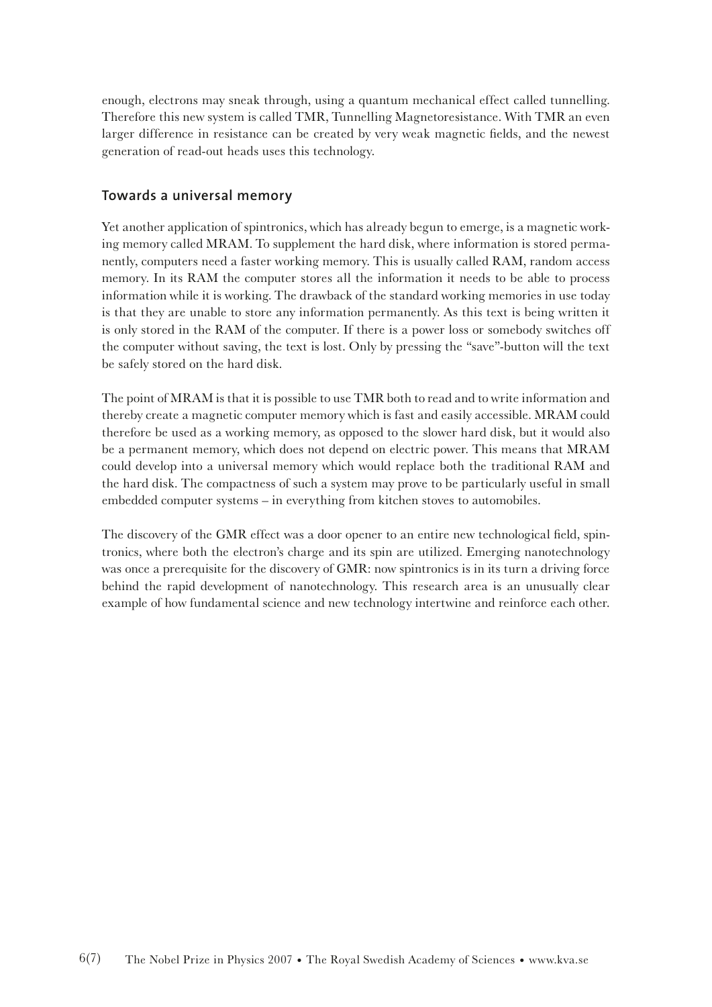enough, electrons may sneak through, using a quantum mechanical effect called tunnelling. Therefore this new system is called TMR, Tunnelling Magnetoresistance. With TMR an even larger difference in resistance can be created by very weak magnetic felds, and the newest generation of read-out heads uses this technology.

# **Towards a universal memory**

Yet another application of spintronics, which has already begun to emerge, is a magnetic working memory called MRAM. To supplement the hard disk, where information is stored permanently, computers need a faster working memory. This is usually called RAM, random access memory. In its RAM the computer stores all the information it needs to be able to process information while it is working. The drawback of the standard working memories in use today is that they are unable to store any information permanently. As this text is being written it is only stored in the RAM of the computer. If there is a power loss or somebody switches off the computer without saving, the text is lost. Only by pressing the "save"-button will the text be safely stored on the hard disk.

The point of MRAM is that it is possible to use TMR both to read and to write information and thereby create a magnetic computer memory which is fast and easily accessible. MRAM could therefore be used as a working memory, as opposed to the slower hard disk, but it would also be a permanent memory, which does not depend on electric power. This means that MRAM could develop into a universal memory which would replace both the traditional RAM and the hard disk. The compactness of such a system may prove to be particularly useful in small embedded computer systems – in everything from kitchen stoves to automobiles.

The discovery of the GMR effect was a door opener to an entire new technological feld, spintronics, where both the electron's charge and its spin are utilized. Emerging nanotechnology was once a prerequisite for the discovery of GMR: now spintronics is in its turn a driving force behind the rapid development of nanotechnology. This research area is an unusually clear example of how fundamental science and new technology intertwine and reinforce each other.